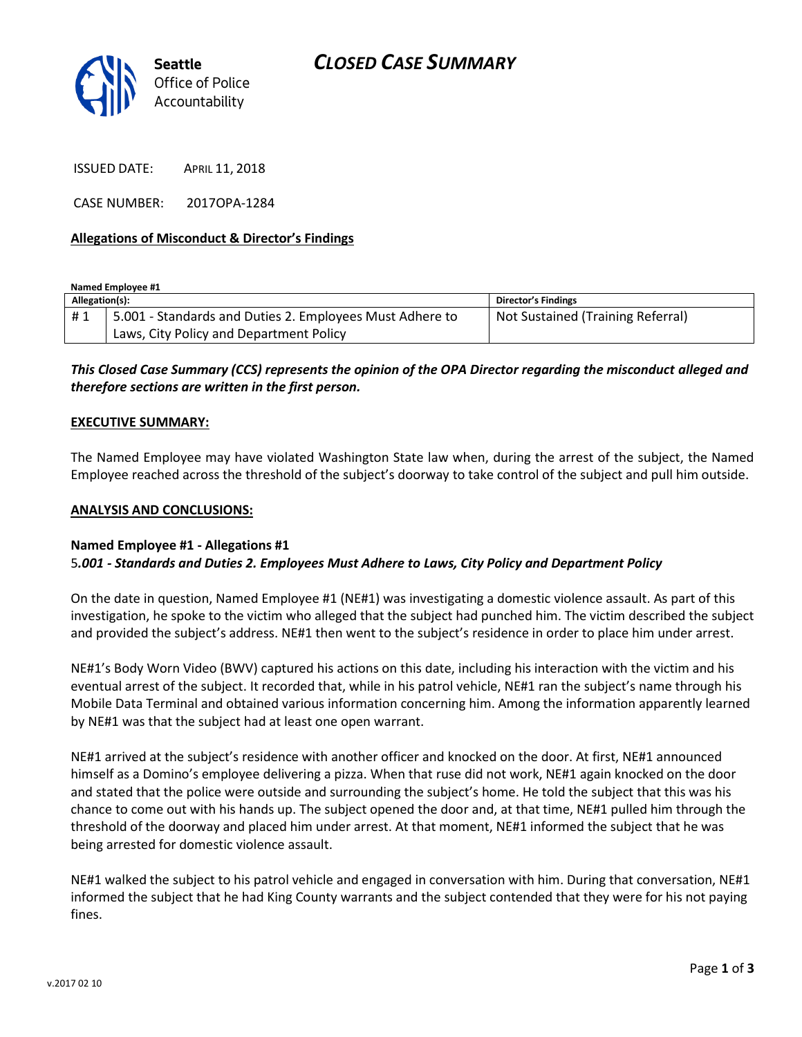

ISSUED DATE: APRIL 11, 2018

CASE NUMBER: 2017OPA-1284

## **Allegations of Misconduct & Director's Findings**

**Named Employee #1**

| Allegation(s): |                                                          | Director's Findings               |
|----------------|----------------------------------------------------------|-----------------------------------|
| #1             | 5.001 - Standards and Duties 2. Employees Must Adhere to | Not Sustained (Training Referral) |
|                | Laws, City Policy and Department Policy                  |                                   |

*This Closed Case Summary (CCS) represents the opinion of the OPA Director regarding the misconduct alleged and therefore sections are written in the first person.* 

#### **EXECUTIVE SUMMARY:**

The Named Employee may have violated Washington State law when, during the arrest of the subject, the Named Employee reached across the threshold of the subject's doorway to take control of the subject and pull him outside.

#### **ANALYSIS AND CONCLUSIONS:**

### **Named Employee #1 - Allegations #1** 5*.001 - Standards and Duties 2. Employees Must Adhere to Laws, City Policy and Department Policy*

On the date in question, Named Employee #1 (NE#1) was investigating a domestic violence assault. As part of this investigation, he spoke to the victim who alleged that the subject had punched him. The victim described the subject and provided the subject's address. NE#1 then went to the subject's residence in order to place him under arrest.

NE#1's Body Worn Video (BWV) captured his actions on this date, including his interaction with the victim and his eventual arrest of the subject. It recorded that, while in his patrol vehicle, NE#1 ran the subject's name through his Mobile Data Terminal and obtained various information concerning him. Among the information apparently learned by NE#1 was that the subject had at least one open warrant.

NE#1 arrived at the subject's residence with another officer and knocked on the door. At first, NE#1 announced himself as a Domino's employee delivering a pizza. When that ruse did not work, NE#1 again knocked on the door and stated that the police were outside and surrounding the subject's home. He told the subject that this was his chance to come out with his hands up. The subject opened the door and, at that time, NE#1 pulled him through the threshold of the doorway and placed him under arrest. At that moment, NE#1 informed the subject that he was being arrested for domestic violence assault.

NE#1 walked the subject to his patrol vehicle and engaged in conversation with him. During that conversation, NE#1 informed the subject that he had King County warrants and the subject contended that they were for his not paying fines.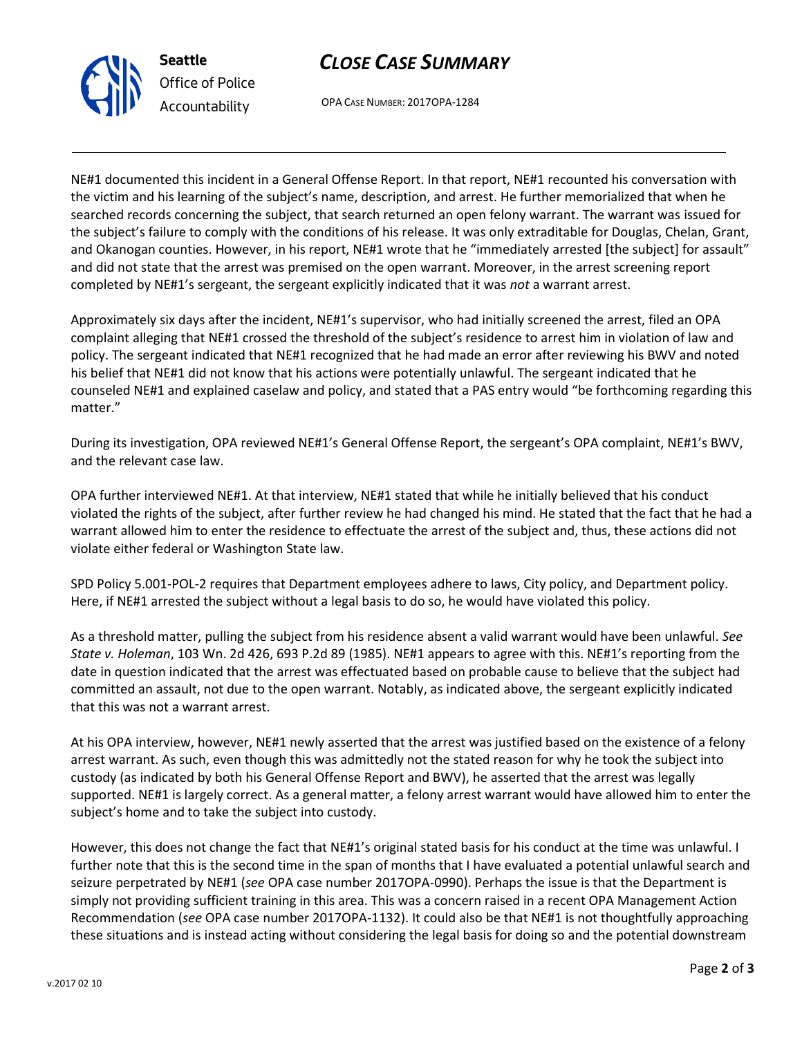



OPA CASE NUMBER: 2017OPA-1284

NE#1 documented this incident in a General Offense Report. In that report, NE#1 recounted his conversation with the victim and his learning of the subject's name, description, and arrest. He further memorialized that when he searched records concerning the subject, that search returned an open felony warrant. The warrant was issued for the subject's failure to comply with the conditions of his release. It was only extraditable for Douglas, Chelan, Grant, and Okanogan counties. However, in his report, NE#1 wrote that he "immediately arrested [the subject] for assault" and did not state that the arrest was premised on the open warrant. Moreover, in the arrest screening report completed by NE#1's sergeant, the sergeant explicitly indicated that it was *not* a warrant arrest.

Approximately six days after the incident, NE#1's supervisor, who had initially screened the arrest, filed an OPA complaint alleging that NE#1 crossed the threshold of the subject's residence to arrest him in violation of law and policy. The sergeant indicated that NE#1 recognized that he had made an error after reviewing his BWV and noted his belief that NE#1 did not know that his actions were potentially unlawful. The sergeant indicated that he counseled NE#1 and explained caselaw and policy, and stated that a PAS entry would "be forthcoming regarding this matter."

During its investigation, OPA reviewed NE#1's General Offense Report, the sergeant's OPA complaint, NE#1's BWV, and the relevant case law.

OPA further interviewed NE#1. At that interview, NE#1 stated that while he initially believed that his conduct violated the rights of the subject, after further review he had changed his mind. He stated that the fact that he had a warrant allowed him to enter the residence to effectuate the arrest of the subject and, thus, these actions did not violate either federal or Washington State law.

SPD Policy 5.001-POL-2 requires that Department employees adhere to laws, City policy, and Department policy. Here, if NE#1 arrested the subject without a legal basis to do so, he would have violated this policy.

As a threshold matter, pulling the subject from his residence absent a valid warrant would have been unlawful. *See State v. Holeman*, 103 Wn. 2d 426, 693 P.2d 89 (1985). NE#1 appears to agree with this. NE#1's reporting from the date in question indicated that the arrest was effectuated based on probable cause to believe that the subject had committed an assault, not due to the open warrant. Notably, as indicated above, the sergeant explicitly indicated that this was not a warrant arrest.

At his OPA interview, however, NE#1 newly asserted that the arrest was justified based on the existence of a felony arrest warrant. As such, even though this was admittedly not the stated reason for why he took the subject into custody (as indicated by both his General Offense Report and BWV), he asserted that the arrest was legally supported. NE#1 is largely correct. As a general matter, a felony arrest warrant would have allowed him to enter the subject's home and to take the subject into custody.

However, this does not change the fact that NE#1's original stated basis for his conduct at the time was unlawful. I further note that this is the second time in the span of months that I have evaluated a potential unlawful search and seizure perpetrated by NE#1 (*see* OPA case number 2017OPA-0990). Perhaps the issue is that the Department is simply not providing sufficient training in this area. This was a concern raised in a recent OPA Management Action Recommendation (*see* OPA case number 2017OPA-1132). It could also be that NE#1 is not thoughtfully approaching these situations and is instead acting without considering the legal basis for doing so and the potential downstream